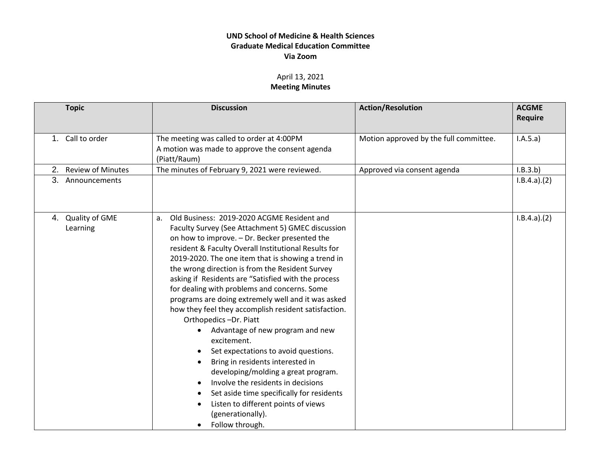## **UND School of Medicine & Health Sciences Graduate Medical Education Committee Via Zoom**

## April 13, 2021 **Meeting Minutes**

|    | <b>Topic</b>               | <b>Discussion</b>                                                                                                                                                                                                                                                                                                                                                                                                                                                                                                                                                                                                                                                                                                                                                                                                                                                                                                          | <b>Action/Resolution</b>               | <b>ACGME</b><br><b>Require</b> |
|----|----------------------------|----------------------------------------------------------------------------------------------------------------------------------------------------------------------------------------------------------------------------------------------------------------------------------------------------------------------------------------------------------------------------------------------------------------------------------------------------------------------------------------------------------------------------------------------------------------------------------------------------------------------------------------------------------------------------------------------------------------------------------------------------------------------------------------------------------------------------------------------------------------------------------------------------------------------------|----------------------------------------|--------------------------------|
| 1. | Call to order              | The meeting was called to order at 4:00PM<br>A motion was made to approve the consent agenda<br>(Piatt/Raum)                                                                                                                                                                                                                                                                                                                                                                                                                                                                                                                                                                                                                                                                                                                                                                                                               | Motion approved by the full committee. | I.A.5.a)                       |
| 2. | <b>Review of Minutes</b>   | The minutes of February 9, 2021 were reviewed.                                                                                                                                                                                                                                                                                                                                                                                                                                                                                                                                                                                                                                                                                                                                                                                                                                                                             | Approved via consent agenda            | I.B.3.b)                       |
|    | 3. Announcements           |                                                                                                                                                                                                                                                                                                                                                                                                                                                                                                                                                                                                                                                                                                                                                                                                                                                                                                                            |                                        | I.B.4.a)(2)                    |
| 4. | Quality of GME<br>Learning | Old Business: 2019-2020 ACGME Resident and<br>a.<br>Faculty Survey (See Attachment 5) GMEC discussion<br>on how to improve. - Dr. Becker presented the<br>resident & Faculty Overall Institutional Results for<br>2019-2020. The one item that is showing a trend in<br>the wrong direction is from the Resident Survey<br>asking if Residents are "Satisfied with the process<br>for dealing with problems and concerns. Some<br>programs are doing extremely well and it was asked<br>how they feel they accomplish resident satisfaction.<br>Orthopedics-Dr. Piatt<br>Advantage of new program and new<br>excitement.<br>Set expectations to avoid questions.<br>Bring in residents interested in<br>developing/molding a great program.<br>Involve the residents in decisions<br>Set aside time specifically for residents<br>Listen to different points of views<br>(generationally).<br>Follow through.<br>$\bullet$ |                                        | I.B.4.a)(2)                    |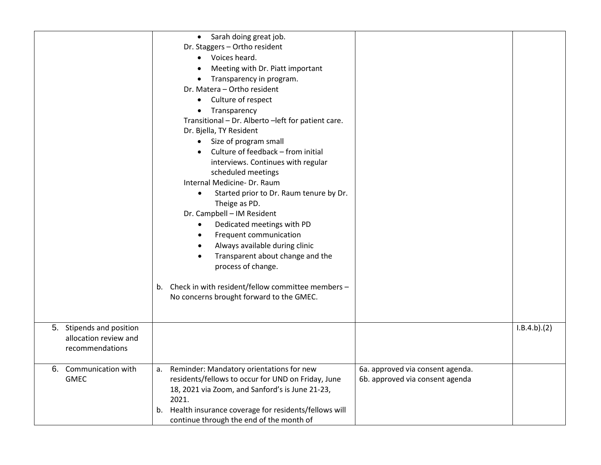| Stipends and position<br>5.              | • Sarah doing great job.<br>Dr. Staggers - Ortho resident<br>• Voices heard.<br>Meeting with Dr. Piatt important<br>Transparency in program.<br>$\bullet$<br>Dr. Matera - Ortho resident<br>• Culture of respect<br>Transparency<br>$\bullet$<br>Transitional - Dr. Alberto - left for patient care.<br>Dr. Bjella, TY Resident<br>• Size of program small<br>Culture of feedback - from initial<br>interviews. Continues with regular<br>scheduled meetings<br>Internal Medicine- Dr. Raum<br>Started prior to Dr. Raum tenure by Dr.<br>$\bullet$<br>Theige as PD.<br>Dr. Campbell - IM Resident<br>Dedicated meetings with PD<br>$\bullet$<br>Frequent communication<br>$\bullet$<br>Always available during clinic<br>$\bullet$<br>Transparent about change and the<br>$\bullet$<br>process of change.<br>b. Check in with resident/fellow committee members -<br>No concerns brought forward to the GMEC. |                                                                     | I.B.4.b)(2) |
|------------------------------------------|----------------------------------------------------------------------------------------------------------------------------------------------------------------------------------------------------------------------------------------------------------------------------------------------------------------------------------------------------------------------------------------------------------------------------------------------------------------------------------------------------------------------------------------------------------------------------------------------------------------------------------------------------------------------------------------------------------------------------------------------------------------------------------------------------------------------------------------------------------------------------------------------------------------|---------------------------------------------------------------------|-------------|
| allocation review and<br>recommendations |                                                                                                                                                                                                                                                                                                                                                                                                                                                                                                                                                                                                                                                                                                                                                                                                                                                                                                                |                                                                     |             |
| 6. Communication with<br><b>GMEC</b>     | Reminder: Mandatory orientations for new<br>a.<br>residents/fellows to occur for UND on Friday, June<br>18, 2021 via Zoom, and Sanford's is June 21-23,<br>2021.                                                                                                                                                                                                                                                                                                                                                                                                                                                                                                                                                                                                                                                                                                                                               | 6a. approved via consent agenda.<br>6b. approved via consent agenda |             |
|                                          | Health insurance coverage for residents/fellows will<br>b.<br>continue through the end of the month of                                                                                                                                                                                                                                                                                                                                                                                                                                                                                                                                                                                                                                                                                                                                                                                                         |                                                                     |             |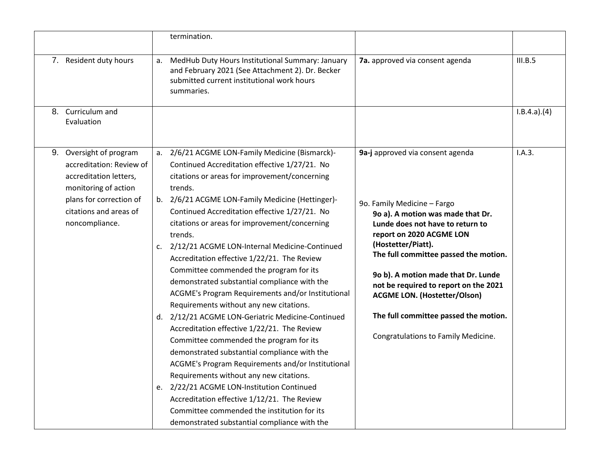|    |                                                                                                                                                                           |                | termination.                                                                                                                                                                                                                                                                                                                                                                                                                                                                                                                                                                                                                                                                                                                                                                                                                                                                                                                                                                                                                                                                                                  |                                                                                                                                                                                                                                                                                                                                                                                                                                            |             |
|----|---------------------------------------------------------------------------------------------------------------------------------------------------------------------------|----------------|---------------------------------------------------------------------------------------------------------------------------------------------------------------------------------------------------------------------------------------------------------------------------------------------------------------------------------------------------------------------------------------------------------------------------------------------------------------------------------------------------------------------------------------------------------------------------------------------------------------------------------------------------------------------------------------------------------------------------------------------------------------------------------------------------------------------------------------------------------------------------------------------------------------------------------------------------------------------------------------------------------------------------------------------------------------------------------------------------------------|--------------------------------------------------------------------------------------------------------------------------------------------------------------------------------------------------------------------------------------------------------------------------------------------------------------------------------------------------------------------------------------------------------------------------------------------|-------------|
|    | 7. Resident duty hours                                                                                                                                                    | a.             | MedHub Duty Hours Institutional Summary: January<br>and February 2021 (See Attachment 2). Dr. Becker<br>submitted current institutional work hours<br>summaries.                                                                                                                                                                                                                                                                                                                                                                                                                                                                                                                                                                                                                                                                                                                                                                                                                                                                                                                                              | 7a. approved via consent agenda                                                                                                                                                                                                                                                                                                                                                                                                            | III.B.5     |
|    | 8. Curriculum and<br>Evaluation                                                                                                                                           |                |                                                                                                                                                                                                                                                                                                                                                                                                                                                                                                                                                                                                                                                                                                                                                                                                                                                                                                                                                                                                                                                                                                               |                                                                                                                                                                                                                                                                                                                                                                                                                                            | I.B.4.a)(4) |
| 9. | Oversight of program<br>accreditation: Review of<br>accreditation letters,<br>monitoring of action<br>plans for correction of<br>citations and areas of<br>noncompliance. | a.<br>c.<br>d. | 2/6/21 ACGME LON-Family Medicine (Bismarck)-<br>Continued Accreditation effective 1/27/21. No<br>citations or areas for improvement/concerning<br>trends.<br>b. 2/6/21 ACGME LON-Family Medicine (Hettinger)-<br>Continued Accreditation effective 1/27/21. No<br>citations or areas for improvement/concerning<br>trends.<br>2/12/21 ACGME LON-Internal Medicine-Continued<br>Accreditation effective 1/22/21. The Review<br>Committee commended the program for its<br>demonstrated substantial compliance with the<br>ACGME's Program Requirements and/or Institutional<br>Requirements without any new citations.<br>2/12/21 ACGME LON-Geriatric Medicine-Continued<br>Accreditation effective 1/22/21. The Review<br>Committee commended the program for its<br>demonstrated substantial compliance with the<br>ACGME's Program Requirements and/or Institutional<br>Requirements without any new citations.<br>e. 2/22/21 ACGME LON-Institution Continued<br>Accreditation effective 1/12/21. The Review<br>Committee commended the institution for its<br>demonstrated substantial compliance with the | 9a-j approved via consent agenda<br>9o. Family Medicine - Fargo<br>90 a). A motion was made that Dr.<br>Lunde does not have to return to<br>report on 2020 ACGME LON<br>(Hostetter/Piatt).<br>The full committee passed the motion.<br>90 b). A motion made that Dr. Lunde<br>not be required to report on the 2021<br><b>ACGME LON. (Hostetter/Olson)</b><br>The full committee passed the motion.<br>Congratulations to Family Medicine. | I.A.3.      |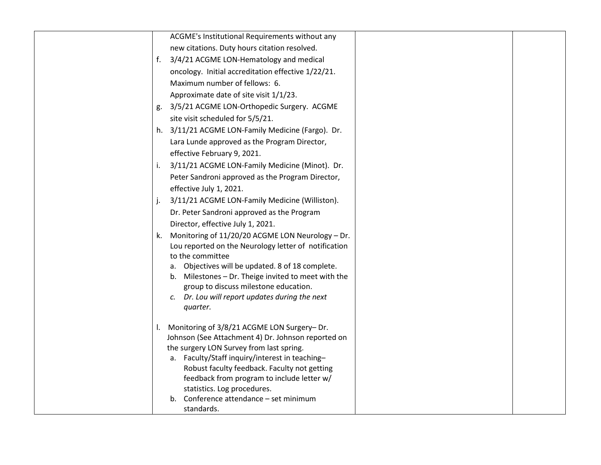| ACGME's Institutional Requirements without any                        |
|-----------------------------------------------------------------------|
| new citations. Duty hours citation resolved.                          |
| 3/4/21 ACGME LON-Hematology and medical<br>f.                         |
| oncology. Initial accreditation effective 1/22/21.                    |
| Maximum number of fellows: 6.                                         |
| Approximate date of site visit 1/1/23.                                |
| 3/5/21 ACGME LON-Orthopedic Surgery. ACGME<br>g.                      |
| site visit scheduled for 5/5/21.                                      |
| h. 3/11/21 ACGME LON-Family Medicine (Fargo). Dr.                     |
| Lara Lunde approved as the Program Director,                          |
| effective February 9, 2021.                                           |
| 3/11/21 ACGME LON-Family Medicine (Minot). Dr.<br>i.                  |
| Peter Sandroni approved as the Program Director,                      |
| effective July 1, 2021.                                               |
| 3/11/21 ACGME LON-Family Medicine (Williston).<br>$\mathbf{L}$        |
| Dr. Peter Sandroni approved as the Program                            |
| Director, effective July 1, 2021.                                     |
| Monitoring of 11/20/20 ACGME LON Neurology - Dr.<br>k.                |
| Lou reported on the Neurology letter of notification                  |
| to the committee                                                      |
| a. Objectives will be updated. 8 of 18 complete.                      |
| b. Milestones - Dr. Theige invited to meet with the                   |
| group to discuss milestone education.                                 |
| c. Dr. Lou will report updates during the next<br>quarter.            |
|                                                                       |
| Monitoring of 3/8/21 ACGME LON Surgery- Dr.                           |
| Johnson (See Attachment 4) Dr. Johnson reported on                    |
| the surgery LON Survey from last spring.                              |
| a. Faculty/Staff inquiry/interest in teaching-                        |
| Robust faculty feedback. Faculty not getting                          |
| feedback from program to include letter w/                            |
| statistics. Log procedures.<br>b. Conference attendance - set minimum |
| standards.                                                            |
|                                                                       |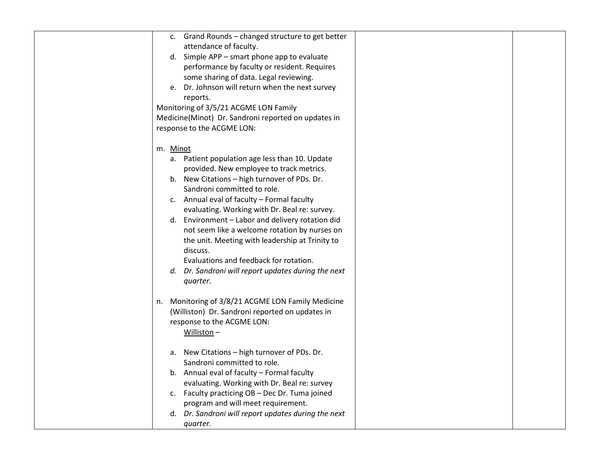|          | c. Grand Rounds - changed structure to get better   |  |
|----------|-----------------------------------------------------|--|
|          | attendance of faculty.                              |  |
|          | d. Simple APP - smart phone app to evaluate         |  |
|          | performance by faculty or resident. Requires        |  |
|          | some sharing of data. Legal reviewing.              |  |
|          | e. Dr. Johnson will return when the next survey     |  |
|          | reports.                                            |  |
|          | Monitoring of 3/5/21 ACGME LON Family               |  |
|          |                                                     |  |
|          | Medicine(Minot) Dr. Sandroni reported on updates in |  |
|          | response to the ACGME LON:                          |  |
| m. Minot |                                                     |  |
|          | a. Patient population age less than 10. Update      |  |
|          | provided. New employee to track metrics.            |  |
|          | b. New Citations - high turnover of PDs. Dr.        |  |
|          | Sandroni committed to role.                         |  |
|          | c. Annual eval of faculty - Formal faculty          |  |
|          | evaluating. Working with Dr. Beal re: survey.       |  |
|          | d. Environment - Labor and delivery rotation did    |  |
|          | not seem like a welcome rotation by nurses on       |  |
|          | the unit. Meeting with leadership at Trinity to     |  |
|          | discuss.                                            |  |
|          | Evaluations and feedback for rotation.              |  |
|          |                                                     |  |
|          | d. Dr. Sandroni will report updates during the next |  |
|          | quarter.                                            |  |
|          | n. Monitoring of 3/8/21 ACGME LON Family Medicine   |  |
|          | (Williston) Dr. Sandroni reported on updates in     |  |
|          | response to the ACGME LON:                          |  |
|          | Williston $-$                                       |  |
|          |                                                     |  |
| a.       | New Citations - high turnover of PDs. Dr.           |  |
|          | Sandroni committed to role.                         |  |
|          | b. Annual eval of faculty - Formal faculty          |  |
|          | evaluating. Working with Dr. Beal re: survey        |  |
|          | c. Faculty practicing OB - Dec Dr. Tuma joined      |  |
|          | program and will meet requirement.                  |  |
|          | d. Dr. Sandroni will report updates during the next |  |
|          | quarter.                                            |  |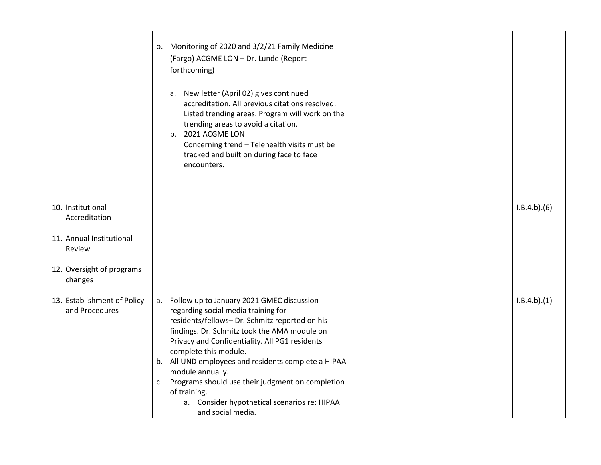|                             | o. Monitoring of 2020 and 3/2/21 Family Medicine<br>(Fargo) ACGME LON - Dr. Lunde (Report<br>forthcoming)<br>a. New letter (April 02) gives continued<br>accreditation. All previous citations resolved.<br>Listed trending areas. Program will work on the<br>trending areas to avoid a citation.<br>b. 2021 ACGME LON<br>Concerning trend - Telehealth visits must be<br>tracked and built on during face to face<br>encounters. |             |
|-----------------------------|------------------------------------------------------------------------------------------------------------------------------------------------------------------------------------------------------------------------------------------------------------------------------------------------------------------------------------------------------------------------------------------------------------------------------------|-------------|
|                             |                                                                                                                                                                                                                                                                                                                                                                                                                                    |             |
| 10. Institutional           |                                                                                                                                                                                                                                                                                                                                                                                                                                    | I.B.4.b)(6) |
| Accreditation               |                                                                                                                                                                                                                                                                                                                                                                                                                                    |             |
|                             |                                                                                                                                                                                                                                                                                                                                                                                                                                    |             |
| 11. Annual Institutional    |                                                                                                                                                                                                                                                                                                                                                                                                                                    |             |
| Review                      |                                                                                                                                                                                                                                                                                                                                                                                                                                    |             |
| 12. Oversight of programs   |                                                                                                                                                                                                                                                                                                                                                                                                                                    |             |
| changes                     |                                                                                                                                                                                                                                                                                                                                                                                                                                    |             |
|                             |                                                                                                                                                                                                                                                                                                                                                                                                                                    |             |
| 13. Establishment of Policy | a. Follow up to January 2021 GMEC discussion                                                                                                                                                                                                                                                                                                                                                                                       | I.B.4.b)(1) |
| and Procedures              | regarding social media training for                                                                                                                                                                                                                                                                                                                                                                                                |             |
|                             | residents/fellows- Dr. Schmitz reported on his                                                                                                                                                                                                                                                                                                                                                                                     |             |
|                             | findings. Dr. Schmitz took the AMA module on                                                                                                                                                                                                                                                                                                                                                                                       |             |
|                             | Privacy and Confidentiality. All PG1 residents                                                                                                                                                                                                                                                                                                                                                                                     |             |
|                             | complete this module.                                                                                                                                                                                                                                                                                                                                                                                                              |             |
|                             | b. All UND employees and residents complete a HIPAA                                                                                                                                                                                                                                                                                                                                                                                |             |
|                             | module annually.                                                                                                                                                                                                                                                                                                                                                                                                                   |             |
|                             | c. Programs should use their judgment on completion                                                                                                                                                                                                                                                                                                                                                                                |             |
|                             | of training.                                                                                                                                                                                                                                                                                                                                                                                                                       |             |
|                             | a. Consider hypothetical scenarios re: HIPAA                                                                                                                                                                                                                                                                                                                                                                                       |             |
|                             | and social media.                                                                                                                                                                                                                                                                                                                                                                                                                  |             |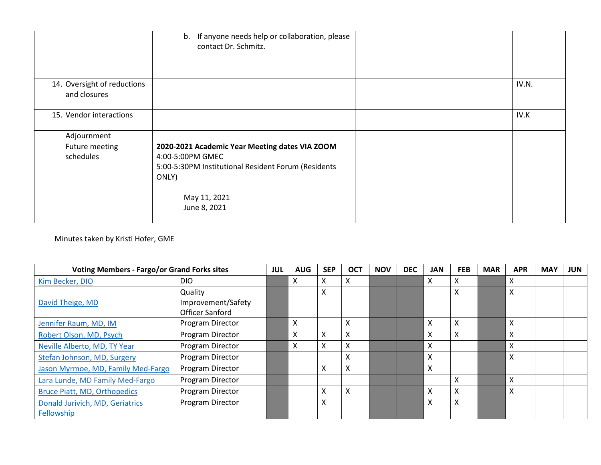|                                             | b. If anyone needs help or collaboration, please<br>contact Dr. Schmitz.                                                                                           |       |
|---------------------------------------------|--------------------------------------------------------------------------------------------------------------------------------------------------------------------|-------|
| 14. Oversight of reductions<br>and closures |                                                                                                                                                                    | IV.N. |
| 15. Vendor interactions                     |                                                                                                                                                                    | IV.K  |
| Adjournment                                 |                                                                                                                                                                    |       |
| Future meeting<br>schedules                 | 2020-2021 Academic Year Meeting dates VIA ZOOM<br>4:00-5:00PM GMEC<br>5:00-5:30PM Institutional Resident Forum (Residents<br>ONLY)<br>May 11, 2021<br>June 8, 2021 |       |

Minutes taken by Kristi Hofer, GME

| <b>Voting Members - Fargo/or Grand Forks sites</b> |                               | <b>JUL</b> | <b>AUG</b> | <b>SEP</b> | <b>OCT</b> | <b>NOV</b> | <b>DEC</b> | <b>JAN</b>                | <b>FEB</b> | <b>MAR</b> | <b>APR</b>                | <b>MAY</b> | <b>JUN</b> |
|----------------------------------------------------|-------------------------------|------------|------------|------------|------------|------------|------------|---------------------------|------------|------------|---------------------------|------------|------------|
| Kim Becker, DIO                                    | DIO.                          |            | х          | x          | X          |            |            | X                         | X          |            | X                         |            |            |
| David Theige, MD                                   | Quality<br>Improvement/Safety |            |            | X          |            |            |            |                           | X          |            | $\times$                  |            |            |
|                                                    | Officer Sanford               |            |            |            |            |            |            |                           |            |            |                           |            |            |
| Jennifer Raum, MD, IM                              | Program Director              |            | X          |            | X          |            |            | $\times$                  | X          |            | $\times$                  |            |            |
| Robert Olson, MD, Psych                            | Program Director              |            | x          | X          | X          |            |            | $\boldsymbol{\mathsf{X}}$ | X          |            | X                         |            |            |
| Neville Alberto, MD, TY Year                       | Program Director              |            | X          | X          | Χ          |            |            | $\boldsymbol{\mathsf{X}}$ |            |            | X                         |            |            |
| Stefan Johnson, MD, Surgery                        | Program Director              |            |            |            | X          |            |            | $\boldsymbol{\mathsf{X}}$ |            |            | $\boldsymbol{\mathsf{X}}$ |            |            |
| Jason Myrmoe, MD, Family Med-Fargo                 | Program Director              |            |            | x          | X          |            |            | $\boldsymbol{\mathsf{X}}$ |            |            |                           |            |            |
| Lara Lunde, MD Family Med-Fargo                    | Program Director              |            |            |            |            |            |            |                           | X          |            | $\boldsymbol{\mathsf{X}}$ |            |            |
| <b>Bruce Piatt, MD, Orthopedics</b>                | Program Director              |            |            | Χ          | X          |            |            | $\boldsymbol{\mathsf{X}}$ | X          |            | $\boldsymbol{\mathsf{X}}$ |            |            |
| Donald Jurivich, MD, Geriatrics                    | Program Director              |            |            | Χ          |            |            |            | $\boldsymbol{\mathsf{X}}$ | X          |            |                           |            |            |
| Fellowship                                         |                               |            |            |            |            |            |            |                           |            |            |                           |            |            |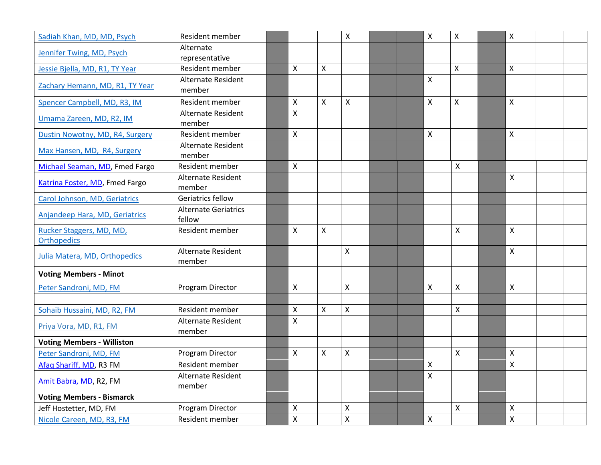| Sadiah Khan, MD, MD, Psych        | Resident member                       |                           |                           | $\boldsymbol{\mathsf{X}}$ | $\pmb{\mathsf{X}}$ | $\mathsf{x}$       | $\boldsymbol{\mathsf{X}}$ |  |
|-----------------------------------|---------------------------------------|---------------------------|---------------------------|---------------------------|--------------------|--------------------|---------------------------|--|
| Jennifer Twing, MD, Psych         | Alternate<br>representative           |                           |                           |                           |                    |                    |                           |  |
| Jessie Bjella, MD, R1, TY Year    | Resident member                       | $\boldsymbol{\mathsf{X}}$ | $\mathsf{x}$              |                           |                    | $\pmb{\times}$     | $\boldsymbol{X}$          |  |
| Zachary Hemann, MD, R1, TY Year   | Alternate Resident<br>member          |                           |                           |                           | $\mathsf{X}$       |                    |                           |  |
| Spencer Campbell, MD, R3, IM      | Resident member                       | $\pmb{\times}$            | $\mathsf{x}$              | $\boldsymbol{\mathsf{X}}$ | X                  | X                  | $\boldsymbol{\mathsf{X}}$ |  |
| Umama Zareen, MD, R2, IM          | Alternate Resident<br>member          | $\mathsf{x}$              |                           |                           |                    |                    |                           |  |
| Dustin Nowotny, MD, R4, Surgery   | Resident member                       | $\mathsf{x}$              |                           |                           | $\mathsf{X}$       |                    | $\boldsymbol{\mathsf{X}}$ |  |
| Max Hansen, MD, R4, Surgery       | Alternate Resident<br>member          |                           |                           |                           |                    |                    |                           |  |
| Michael Seaman, MD, Fmed Fargo    | Resident member                       | $\pmb{\mathsf{X}}$        |                           |                           |                    | $\pmb{\mathsf{X}}$ |                           |  |
| Katrina Foster, MD, Fmed Fargo    | Alternate Resident<br>member          |                           |                           |                           |                    |                    | $\mathsf{x}$              |  |
| Carol Johnson, MD, Geriatrics     | Geriatrics fellow                     |                           |                           |                           |                    |                    |                           |  |
| Anjandeep Hara, MD, Geriatrics    | <b>Alternate Geriatrics</b><br>fellow |                           |                           |                           |                    |                    |                           |  |
| Rucker Staggers, MD, MD,          | Resident member                       | $\mathsf{x}$              | $\mathsf{x}$              |                           |                    | $\mathsf{x}$       | $\pmb{\times}$            |  |
| <b>Orthopedics</b>                |                                       |                           |                           |                           |                    |                    |                           |  |
| Julia Matera, MD, Orthopedics     | Alternate Resident<br>member          |                           |                           | $\mathsf{x}$              |                    |                    | $\mathsf{x}$              |  |
| <b>Voting Members - Minot</b>     |                                       |                           |                           |                           |                    |                    |                           |  |
| Peter Sandroni, MD, FM            | Program Director                      | X                         |                           | $\mathsf{x}$              | X                  | X                  | $\mathsf{X}$              |  |
|                                   |                                       |                           |                           |                           |                    |                    |                           |  |
| Sohaib Hussaini, MD, R2, FM       | <b>Resident member</b>                | $\mathsf{X}$              | Χ                         | $\mathsf{x}$              |                    | X                  |                           |  |
| Priya Vora, MD, R1, FM            | Alternate Resident<br>member          | $\pmb{\mathsf{X}}$        |                           |                           |                    |                    |                           |  |
| <b>Voting Members - Williston</b> |                                       |                           |                           |                           |                    |                    |                           |  |
| Peter Sandroni, MD, FM            | Program Director                      | $\boldsymbol{\mathsf{X}}$ | $\boldsymbol{\mathsf{X}}$ | $\mathsf X$               |                    | $\mathsf{X}$       | $\pmb{\mathsf{X}}$        |  |
| Afaq Shariff, MD, R3 FM           | Resident member                       |                           |                           |                           | X                  |                    | $\pmb{\times}$            |  |
| Amit Babra, MD, R2, FM            | Alternate Resident<br>member          |                           |                           |                           | $\mathsf{X}$       |                    |                           |  |
| <b>Voting Members - Bismarck</b>  |                                       |                           |                           |                           |                    |                    |                           |  |
| Jeff Hostetter, MD, FM            | Program Director                      | X                         |                           | $\pmb{\times}$            |                    | X                  | Χ                         |  |
| Nicole Careen, MD, R3, FM         | Resident member                       | $\pmb{\mathsf{X}}$        |                           | $\pmb{\mathsf{X}}$        | $\pmb{\mathsf{X}}$ |                    | $\mathsf{\chi}$           |  |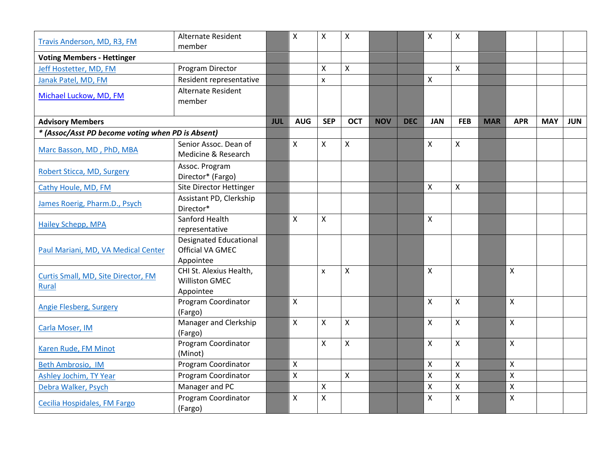| Travis Anderson, MD, R3, FM                       | <b>Alternate Resident</b>     |            | X                         | Χ                  | $\boldsymbol{\mathsf{X}}$ |            |            | $\mathsf{X}$              | $\mathsf{x}$       |            |                           |            |            |
|---------------------------------------------------|-------------------------------|------------|---------------------------|--------------------|---------------------------|------------|------------|---------------------------|--------------------|------------|---------------------------|------------|------------|
|                                                   | member                        |            |                           |                    |                           |            |            |                           |                    |            |                           |            |            |
| <b>Voting Members - Hettinger</b>                 |                               |            |                           |                    |                           |            |            |                           |                    |            |                           |            |            |
| Jeff Hostetter, MD, FM                            | Program Director              |            |                           | X                  | $\boldsymbol{\mathsf{X}}$ |            |            |                           | $\mathsf{X}$       |            |                           |            |            |
| Janak Patel, MD, FM                               | Resident representative       |            |                           | $\mathsf{x}$       |                           |            |            | $\boldsymbol{\mathsf{X}}$ |                    |            |                           |            |            |
| Michael Luckow, MD, FM                            | <b>Alternate Resident</b>     |            |                           |                    |                           |            |            |                           |                    |            |                           |            |            |
|                                                   | member                        |            |                           |                    |                           |            |            |                           |                    |            |                           |            |            |
|                                                   |                               |            |                           |                    |                           |            |            |                           |                    |            |                           |            |            |
| <b>Advisory Members</b>                           |                               | <b>JUL</b> | <b>AUG</b>                | <b>SEP</b>         | <b>OCT</b>                | <b>NOV</b> | <b>DEC</b> | <b>JAN</b>                | <b>FEB</b>         | <b>MAR</b> | <b>APR</b>                | <b>MAY</b> | <b>JUN</b> |
| * (Assoc/Asst PD become voting when PD is Absent) |                               |            |                           |                    |                           |            |            |                           |                    |            |                           |            |            |
| Marc Basson, MD, PhD, MBA                         | Senior Assoc. Dean of         |            | X                         | Χ                  | $\pmb{\mathsf{X}}$        |            |            | $\pmb{\times}$            | $\mathsf{X}$       |            |                           |            |            |
|                                                   | Medicine & Research           |            |                           |                    |                           |            |            |                           |                    |            |                           |            |            |
| Robert Sticca, MD, Surgery                        | Assoc. Program                |            |                           |                    |                           |            |            |                           |                    |            |                           |            |            |
|                                                   | Director* (Fargo)             |            |                           |                    |                           |            |            |                           |                    |            |                           |            |            |
| Cathy Houle, MD, FM                               | Site Director Hettinger       |            |                           |                    |                           |            |            | $\mathsf{X}$              | $\mathsf{x}$       |            |                           |            |            |
| James Roerig, Pharm.D., Psych                     | Assistant PD, Clerkship       |            |                           |                    |                           |            |            |                           |                    |            |                           |            |            |
|                                                   | Director*                     |            |                           |                    |                           |            |            |                           |                    |            |                           |            |            |
| <b>Hailey Schepp, MPA</b>                         | Sanford Health                |            | $\mathsf{X}$              | X                  |                           |            |            | $\mathsf{X}$              |                    |            |                           |            |            |
|                                                   | representative                |            |                           |                    |                           |            |            |                           |                    |            |                           |            |            |
|                                                   | <b>Designated Educational</b> |            |                           |                    |                           |            |            |                           |                    |            |                           |            |            |
| Paul Mariani, MD, VA Medical Center               | <b>Official VA GMEC</b>       |            |                           |                    |                           |            |            |                           |                    |            |                           |            |            |
|                                                   | Appointee                     |            |                           |                    |                           |            |            |                           |                    |            |                           |            |            |
| Curtis Small, MD, Site Director, FM               | CHI St. Alexius Health,       |            |                           | $\mathsf{x}$       | $\mathsf{X}$              |            |            | $\mathsf{X}$              |                    |            | $\boldsymbol{\mathsf{X}}$ |            |            |
| <b>Rural</b>                                      | <b>Williston GMEC</b>         |            |                           |                    |                           |            |            |                           |                    |            |                           |            |            |
|                                                   | Appointee                     |            |                           |                    |                           |            |            |                           |                    |            |                           |            |            |
| <b>Angie Flesberg, Surgery</b>                    | Program Coordinator           |            | $\mathsf{x}$              |                    |                           |            |            | $\mathsf{X}$              | $\mathsf{x}$       |            | $\boldsymbol{\mathsf{X}}$ |            |            |
|                                                   | (Fargo)                       |            |                           |                    |                           |            |            |                           |                    |            |                           |            |            |
| Carla Moser, IM                                   | Manager and Clerkship         |            | $\boldsymbol{\mathsf{X}}$ | X                  | $\boldsymbol{\mathsf{X}}$ |            |            | $\boldsymbol{\mathsf{X}}$ | $\mathsf{X}$       |            | $\boldsymbol{\mathsf{X}}$ |            |            |
|                                                   | (Fargo)                       |            |                           |                    |                           |            |            |                           |                    |            |                           |            |            |
| Karen Rude, FM Minot                              | Program Coordinator           |            |                           | X                  | $\pmb{\mathsf{X}}$        |            |            | $\pmb{\times}$            | $\mathsf{X}$       |            | $\boldsymbol{\mathsf{X}}$ |            |            |
|                                                   | (Minot)                       |            |                           |                    |                           |            |            |                           |                    |            |                           |            |            |
| Beth Ambrosio, IM                                 | Program Coordinator           |            | $\pmb{\times}$            |                    |                           |            |            | $\pmb{\mathsf{X}}$        | $\pmb{\times}$     |            | $\boldsymbol{\mathsf{X}}$ |            |            |
| Ashley Jochim, TY Year                            | Program Coordinator           |            | $\pmb{\mathsf{X}}$        |                    | $\pmb{\chi}$              |            |            | $\mathsf{X}$              | $\mathsf{X}$       |            | $\boldsymbol{\mathsf{X}}$ |            |            |
| Debra Walker, Psych                               | Manager and PC                |            |                           | X                  |                           |            |            | $\mathsf{X}$              | $\pmb{\mathsf{X}}$ |            | $\boldsymbol{\mathsf{X}}$ |            |            |
| Cecilia Hospidales, FM Fargo                      | Program Coordinator           |            | X                         | $\pmb{\mathsf{X}}$ |                           |            |            | $\mathsf{X}$              | $\pmb{\mathsf{X}}$ |            | $\mathsf{X}$              |            |            |
|                                                   | (Fargo)                       |            |                           |                    |                           |            |            |                           |                    |            |                           |            |            |